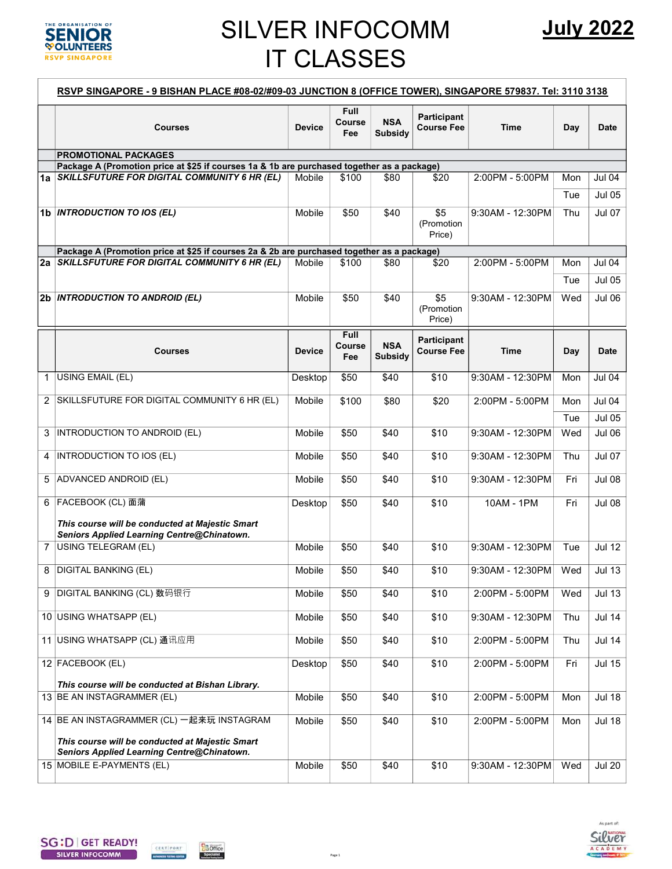

## SILVER INFOCOMM IT CLASSES

|                | RSVP SINGAPORE - 9 BISHAN PLACE #08-02/#09-03 JUNCTION 8 (OFFICE TOWER), SINGAPORE 579837. Tel: 3110 3138                                     |               |                              |                       |                                  |                  |     |               |  |  |  |
|----------------|-----------------------------------------------------------------------------------------------------------------------------------------------|---------------|------------------------------|-----------------------|----------------------------------|------------------|-----|---------------|--|--|--|
|                | <b>Courses</b>                                                                                                                                | <b>Device</b> | <b>Full</b><br>Course<br>Fee | <b>NSA</b><br>Subsidy | Participant<br><b>Course Fee</b> | <b>Time</b>      | Day | Date          |  |  |  |
|                | <b>PROMOTIONAL PACKAGES</b>                                                                                                                   |               |                              |                       |                                  |                  |     |               |  |  |  |
|                | Package A (Promotion price at \$25 if courses 1a & 1b are purchased together as a package)<br>1a SKILLSFUTURE FOR DIGITAL COMMUNITY 6 HR (EL) | Mobile        | \$100                        | \$80                  | \$20                             | 2:00PM - 5:00PM  | Mon | Jul 04        |  |  |  |
|                |                                                                                                                                               |               |                              |                       |                                  |                  | Tue | <b>Jul 05</b> |  |  |  |
|                |                                                                                                                                               |               |                              |                       |                                  |                  |     |               |  |  |  |
|                | 1b <i>INTRODUCTION TO IOS (EL)</i>                                                                                                            | Mobile        | \$50                         | \$40                  | \$5<br>(Promotion<br>Price)      | 9:30AM - 12:30PM | Thu | <b>Jul 07</b> |  |  |  |
|                | Package A (Promotion price at \$25 if courses 2a & 2b are purchased together as a package)                                                    |               |                              |                       |                                  |                  |     |               |  |  |  |
|                | 2a SKILLSFUTURE FOR DIGITAL COMMUNITY 6 HR (EL)                                                                                               | Mobile        | \$100                        | \$80                  | \$20                             | 2:00PM - 5:00PM  | Mon | Jul 04        |  |  |  |
|                |                                                                                                                                               |               |                              |                       |                                  |                  | Tue | <b>Jul 05</b> |  |  |  |
|                | 2b <i>INTRODUCTION TO ANDROID (EL)</i>                                                                                                        | Mobile        | \$50                         | \$40                  | \$5<br>(Promotion<br>Price)      | 9:30AM - 12:30PM | Wed | <b>Jul 06</b> |  |  |  |
|                | <b>Courses</b>                                                                                                                                | <b>Device</b> | <b>Full</b><br>Course<br>Fee | <b>NSA</b><br>Subsidy | Participant<br><b>Course Fee</b> | Time             | Day | <b>Date</b>   |  |  |  |
| $\mathbf{1}$   | <b>USING EMAIL (EL)</b>                                                                                                                       | Desktop       | \$50                         | \$40                  | \$10                             | 9:30AM - 12:30PM | Mon | <b>Jul 04</b> |  |  |  |
| 2              | SKILLSFUTURE FOR DIGITAL COMMUNITY 6 HR (EL)                                                                                                  | Mobile        | \$100                        | \$80                  | \$20                             | 2:00PM - 5:00PM  | Mon | Jul 04        |  |  |  |
|                |                                                                                                                                               |               |                              |                       |                                  |                  | Tue | <b>Jul 05</b> |  |  |  |
| 3              | INTRODUCTION TO ANDROID (EL)                                                                                                                  | Mobile        | \$50                         | \$40                  | \$10                             | 9:30AM - 12:30PM | Wed | Jul 06        |  |  |  |
| 4              | INTRODUCTION TO IOS (EL)                                                                                                                      | Mobile        | \$50                         | \$40                  | \$10                             | 9:30AM - 12:30PM | Thu | Jul 07        |  |  |  |
| 5              | ADVANCED ANDROID (EL)                                                                                                                         | Mobile        | \$50                         | \$40                  | \$10                             | 9:30AM - 12:30PM | Fri | <b>Jul 08</b> |  |  |  |
| 6              | FACEBOOK (CL) 面蒲                                                                                                                              | Desktop       | \$50                         | \$40                  | \$10                             | 10AM - 1PM       | Fri | <b>Jul 08</b> |  |  |  |
|                | This course will be conducted at Majestic Smart<br>Seniors Applied Learning Centre@Chinatown.                                                 |               |                              |                       |                                  |                  |     |               |  |  |  |
| $\overline{7}$ | <b>USING TELEGRAM (EL)</b>                                                                                                                    | Mobile        | \$50                         | \$40                  | \$10                             | 9:30AM - 12:30PM | Tue | <b>Jul 12</b> |  |  |  |
|                |                                                                                                                                               |               |                              |                       |                                  |                  |     |               |  |  |  |
| 8              | <b>DIGITAL BANKING (EL)</b>                                                                                                                   | Mobile        | \$50                         | \$40                  | \$10                             | 9:30AM - 12:30PM | Wed | <b>Jul 13</b> |  |  |  |
| 9              | DIGITAL BANKING (CL) 数码银行                                                                                                                     | Mobile        | \$50                         | \$40                  | \$10                             | 2:00PM - 5:00PM  | Wed | <b>Jul 13</b> |  |  |  |
|                | 10 USING WHATSAPP (EL)                                                                                                                        | Mobile        | \$50                         | \$40                  | \$10                             | 9:30AM - 12:30PM | Thu | <b>Jul 14</b> |  |  |  |
|                | 11 USING WHATSAPP (CL) 通讯应用                                                                                                                   | Mobile        | \$50                         | \$40                  | \$10                             | 2:00PM - 5:00PM  | Thu | <b>Jul 14</b> |  |  |  |
|                | 12 FACEBOOK (EL)                                                                                                                              | Desktop       | \$50                         | \$40                  | \$10                             | 2:00PM - 5:00PM  | Fri | <b>Jul 15</b> |  |  |  |
|                | This course will be conducted at Bishan Library.                                                                                              |               |                              |                       |                                  |                  |     |               |  |  |  |
|                | 13 BE AN INSTAGRAMMER (EL)                                                                                                                    | Mobile        | \$50                         | \$40                  | \$10                             | 2:00PM - 5:00PM  | Mon | <b>Jul 18</b> |  |  |  |
|                | 14 BE AN INSTAGRAMMER (CL) 一起来玩 INSTAGRAM<br>This course will be conducted at Majestic Smart                                                  | Mobile        | \$50                         | \$40                  | \$10                             | 2:00PM - 5:00PM  | Mon | <b>Jul 18</b> |  |  |  |
|                | Seniors Applied Learning Centre@Chinatown.                                                                                                    |               |                              |                       |                                  |                  |     |               |  |  |  |
|                | 15 MOBILE E-PAYMENTS (EL)                                                                                                                     | Mobile        | \$50                         | \$40                  | \$10                             | 9:30AM - 12:30PM | Wed | <b>Jul 20</b> |  |  |  |